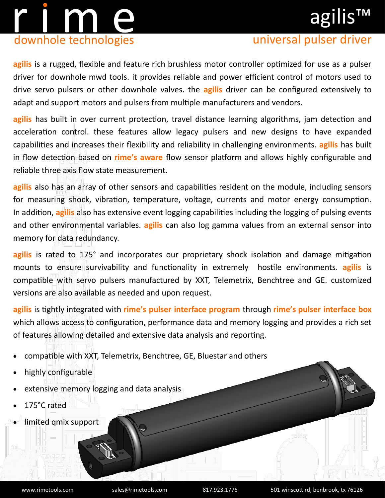# r i m en downhole technologies

# agilis™

### universal pulser driver

**agilis** is a rugged, flexible and feature rich brushless motor controller optimized for use as a pulser driver for downhole mwd tools. it provides reliable and power efficient control of motors used to drive servo pulsers or other downhole valves. the **agilis** driver can be configured extensively to adapt and support motors and pulsers from multiple manufacturers and vendors.

**agilis** has built in over current protection, travel distance learning algorithms, jam detection and acceleration control. these features allow legacy pulsers and new designs to have expanded capabilities and increases their flexibility and reliability in challenging environments. **agilis** has built in flow detection based on **rime's aware** flow sensor platform and allows highly configurable and reliable three axis flow state measurement.

**agilis** also has an array of other sensors and capabilities resident on the module, including sensors for measuring shock, vibration, temperature, voltage, currents and motor energy consumption. In addition, **agilis** also has extensive event logging capabilities including the logging of pulsing events and other environmental variables. **agilis** can also log gamma values from an external sensor into memory for data redundancy.

**agilis** is rated to 175° and incorporates our proprietary shock isolation and damage mitigation mounts to ensure survivability and functionality in extremely hostile environments. **agilis** is compatible with servo pulsers manufactured by XXT, Telemetrix, Benchtree and GE. customized versions are also available as needed and upon request.

**agilis** is tightly integrated with **rime's pulser interface program** through **rime's pulser interface box** which allows access to configuration, performance data and memory logging and provides a rich set of features allowing detailed and extensive data analysis and reporting.

- compatible with XXT, Telemetrix, Benchtree, GE, Bluestar and others
- highly configurable
- extensive memory logging and data analysis
- 175°C rated
- limited qmix support